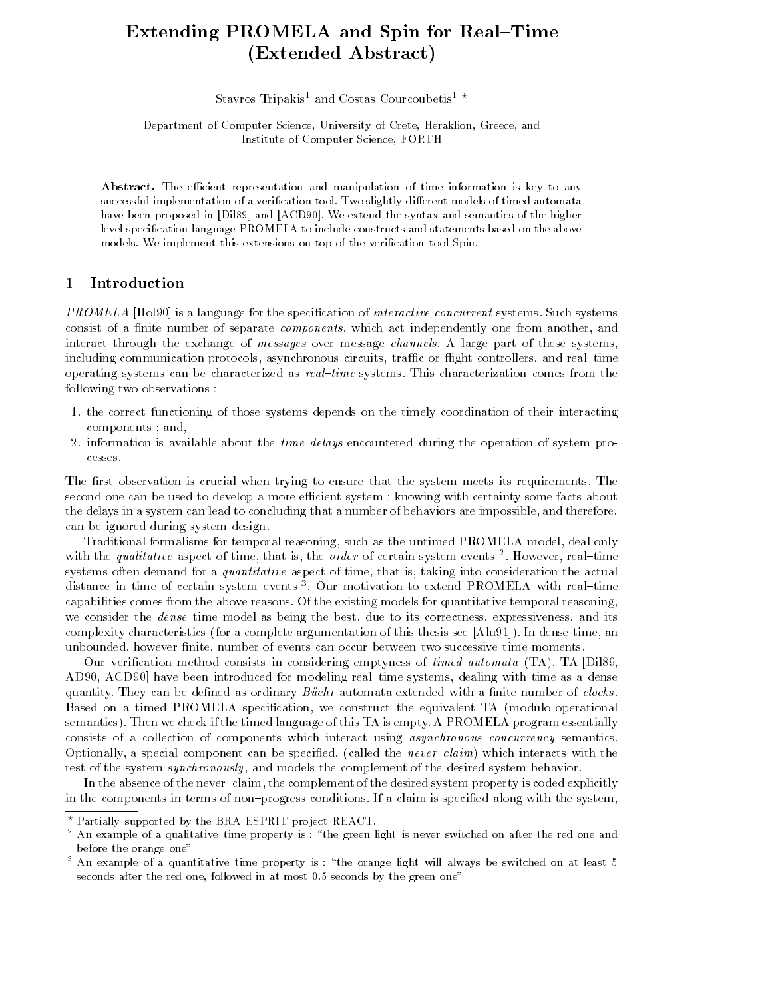# Extending PROMELA and Spin for Real-Time (Extended Abstract)

Stavros Tripakis<sup>1</sup> and Costas Courcoubetis<sup>1</sup>  $\star$ 

Department of Computer Science, University of Crete, Heraklion, Greece, and Institute of Computer Science, FORTH

Abstract. The efficient representation and manipulation of time information is key to any successful implementation of a verification tool. Two slightly different models of timed automata have been proposed in [Dil89] and [ACD90]. We extend the syntax and semantics of the higher level specication language PROMELA to include constructs and statements based on the above models. We implement this extensions on top of the verification tool Spin.

#### $\mathbf{1}$ **Introduction**

**PROMELA** [Hol90] is a language for the specification of *interactive concurrent* systems. Such systems consist of a finite number of separate *components*, which act independently one from another, and interact through the exchange of messages over message channels. A large part of these systems, including communication protocols, asynchronous circuits, traffic or flight controllers, and real-time operating systems can be characterized as  $real-time$  systems. This characterization comes from the following two observations :

- 1. the correct functioning of those systems depends on the timely coordination of their interacting components ; and,
- 2. information is available about the time delays encountered during the operation of system processes.

The first observation is crucial when trying to ensure that the system meets its requirements. The second one can be used to develop a more efficient system : knowing with certainty some facts about the delays in a system can lead to concluding that a number of behaviors are impossible, and therefore, can be ignored during system design.

Traditional formalisms for temporal reasoning, such as the untimed PROMELA model, deal only with the *qualitative* aspect of time, that is, the *order* of certain system events  $\overline{\ }$ . However, real-time systems often demand for a *quantitative* aspect of time, that is, taking into consideration the actual distance in time of certain system events ". Our motivation to extend PROMELA with real-time capabilities comes from the above reasons. Of the existing models for quantitative temporal reasoning, we consider the *dense* time model as being the best, due to its correctness, expressiveness, and its complexity characteristics (for a complete argumentation of this thesis see [Alu91]). In dense time, an unbounded, however nite, number of events can occur between two successive time moments.

Our verification method consists in considering emptyness of *timed automata* (TA). TA [Dil89, AD90, ACD90 have been introduced for modeling real-time systems, dealing with time as a dense quantity. They can be defined as ordinary *Büchi* automata extended with a finite number of *clocks*.<br>Based on a timed PROMELA specification, we construct the equivalent TA (modulo operational semantics). Then we check if the timed language of this TA is empty. A PROMELA program essentially consists of a collection of components which interact using asynchronous concurrency semantics. Optionally, a special component can be specified, (called the *never-claim*) which interacts with the rest of the system *synchronously*, and models the complement of the desired system behavior.

In the absence of the never-claim, the complement of the desired system property is coded explicitly in the components in terms of non-progress conditions. If a claim is specified along with the system,

 $^\circ$  Partially supported by the BRA ESPRIT project REACT.

 $^{\circ}$  An example of a qualitative time property is : ) the green light is never switched on after the red one and  $^{\circ}$ before the orange one"

 $^{\circ}$  An example of a quantitative time property is : "the orange light will always be switched on at least 5  $^{\circ}$ seconds after the red one, followed in at most 0:5 seconds by the green one"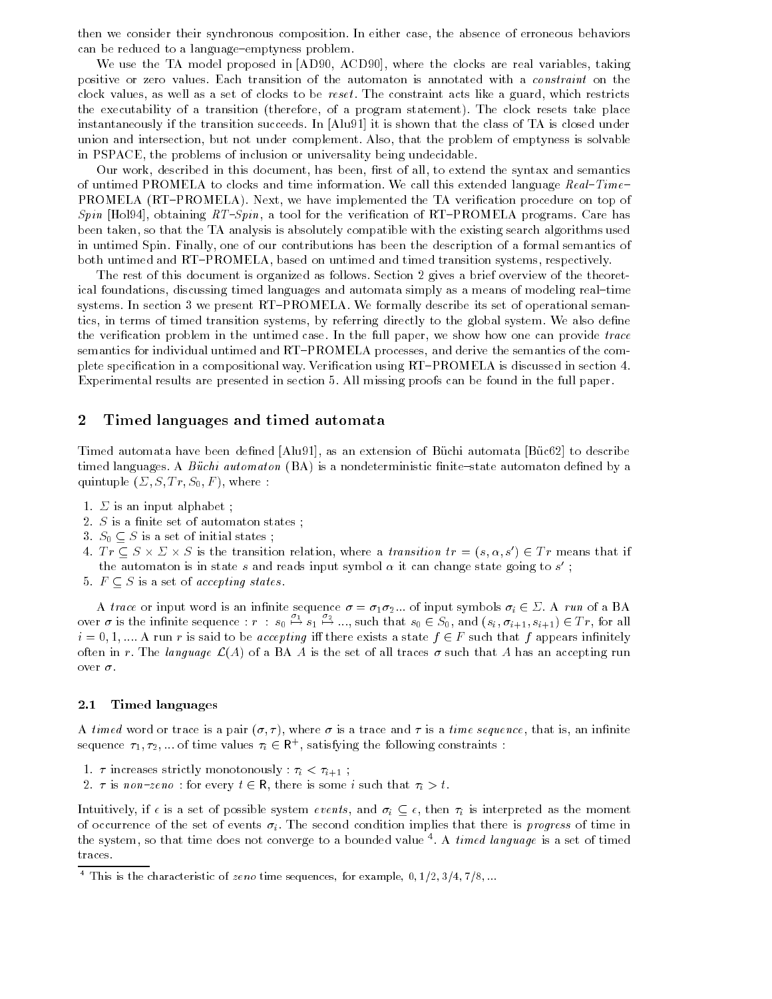then we consider their synchronous composition. In either case, the absence of erroneous behaviors can be reduced to a language-emptyness problem.

We use the TA model proposed in [AD90, ACD90], where the clocks are real variables, taking positive or zero values. Each transition of the automaton is annotated with a constraint on the clock values, as well as a set of clocks to be reset . The constraint acts like a guard, which restricts the executability of a transition (therefore, of a program statement). The clock resets take place instantaneously if the transition succeeds. In [Alu91] it is shown that the class of TA is closed under union and intersection, but not under complement. Also, that the problem of emptyness is solvable in PSPACE, the problems of inclusion or universality being undecidable.

Our work, described in this document, has been, first of all, to extend the syntax and semantics of untimed PROMELA to clocks and time information. We call this extended language Real-Time-PROMELA (RT-PROMELA). Next, we have implemented the TA verification procedure on top of Spin [Hol94], obtaining  $RT-Spin$ , a tool for the verification of RT-PROMELA programs. Care has been taken, so that the TA analysis is absolutely compatible with the existing search algorithms used in untimed Spin. Finally, one of our contributions has been the description of a formal semantics of both untimed and RT-PROMELA, based on untimed and timed transition systems, respectively.

The rest of this document is organized as follows. Section 2 gives a brief overview of the theoretical foundations, discussing timed languages and automata simply as a means of modeling real-time systems. In section 3 we present RT-PROMELA. We formally describe its set of operational semantics, in terms of timed transition systems, by referring directly to the global system. We also dene the verification problem in the untimed case. In the full paper, we show how one can provide trace semantics for individual untimed and RT-PROMELA processes, and derive the semantics of the complete specification in a compositional way. Verification using RT-PROMELA is discussed in section 4. Experimental results are presented in section 5. All missing proofs can be found in the full paper.

### 2 Timed languages and timed automata

Timed automata have been defined [Alu91], as an extension of Büchi automata [Büc62] to describe timed languages. A Büchi automaton  $(BA)$  is a nondeterministic finite-state automaton defined by a quintuple  $(\Sigma, S, Tr, S_0, F)$ , where :

- 1.  $\Sigma$  is an input alphabet;
- 2.  $S$  is a finite set of automaton states;
- 3.  $S_0 \subseteq S$  is a set of initial states;
- 4.  $Tr \subset S \times \Sigma \times S$  is the transition relation, where a *transition*  $tr = (s, \alpha, s') \in Tr$  means that if the automaton is in state s and reads input symbol  $\alpha$  it can change state going to s ;
- 5.  $F \subseteq S$  is a set of accepting states.

A trace or input word is an infinite sequence  $\sigma = \sigma_1 \sigma_2 ...$  of input symbols  $\sigma_i \in \Sigma$ . A run of a BA over  $\sigma$  is the infinite sequence :  $r : s_0 \stackrel{\omega_1}{\mapsto} s_1 \stackrel{\omega_2}{\mapsto} ...$ , such that  $s_0 \in S_0$ , and  $(s_i, \sigma_{i+1}, s_{i+1}) \in Tr$ , for all  $i = 0, 1, \dots$  A run r is said to be *accepting* iff there exists a state  $f \in F$  such that f appears infinitely often in r. The language  $\mathcal{L}(A)$  of a BA A is the set of all traces  $\sigma$  such that A has an accepting run over  $\sigma.$ 

#### 2.1 Timed languages

A timed word or trace is a pair  $(\sigma, \tau)$ , where  $\sigma$  is a trace and  $\tau$  is a time sequence, that is, an infinite sequence  $\tau_1, \tau_2, ...$  of time values  $\tau_i \in \mathsf{R}^+$ , satisfying the following constraints :

- 1.  $\tau$  increases strictly monotonously :  $\tau_i < \tau_{i+1}$ ;
- 2.  $\tau$  is non-zeno: for every  $t \in \mathsf{R}$ , there is some i such that  $\tau_i > t$ .

Intuitively, if  $\epsilon$  is a set of possible system *events*, and  $\sigma_i \subseteq \epsilon$ , then  $\tau_i$  is interpreted as the moment of occurrence of the set of events  $\sigma_i$ . The second condition implies that there is *progress* of time in the system, so that time does not converge to a bounded value  $\cdot$ . A *timed language* is a set of timed the time traces.

 $\bar{\ }$  This is the characteristic of zeno time sequences, for example, 0, 1/2, 3/4, 7/8, ...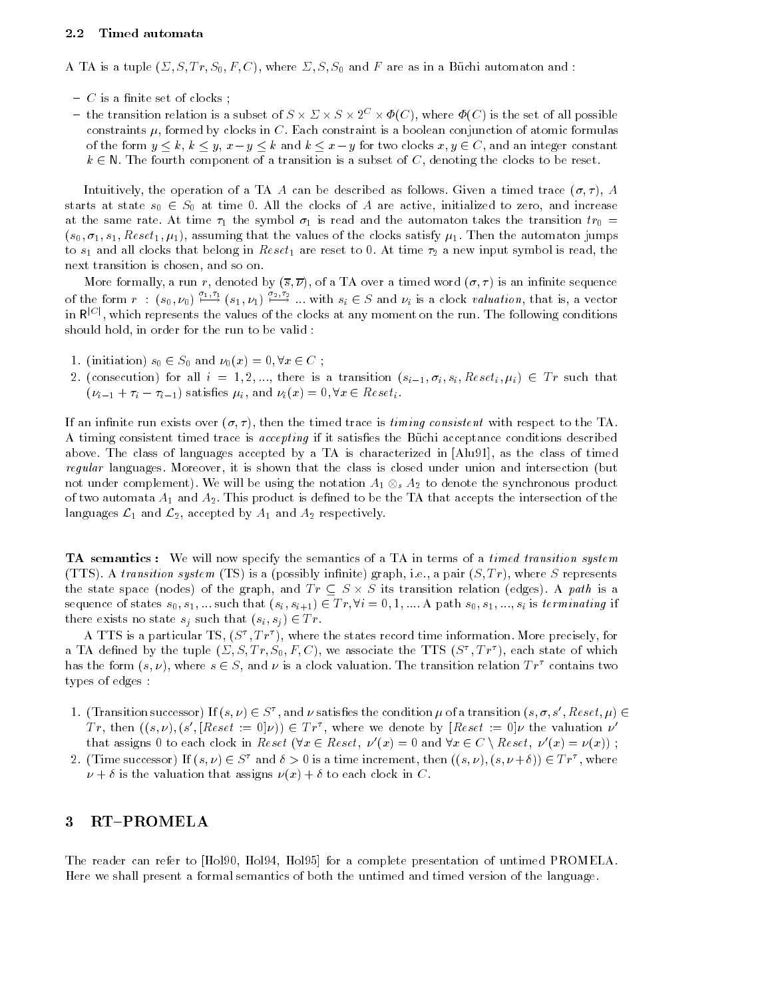#### $2.2$ Timed automata

A TA is a tuple  $(\Sigma, S, Tr, S_0, F, C)$ , where  $\Sigma, S, S_0$  and F are as in a Büchi automaton and :

- $-$  C is a finite set of clocks;
- the transition relation is a subset of  $S \times \Sigma \times S \times 2^C \times \Phi(C)$ , where  $\Phi(C)$  is the set of all possible constraints  $\mu$ , formed by clocks in C. Each constraint is a boolean conjunction of atomic formulas of the form  $y \le k$ ,  $k \le y$ ,  $x - y \le k$  and  $k \le x - y$  for two clocks  $x, y \in C$ , and an integer constant  $k \in \mathbb{N}$ . The fourth component of a transition is a subset of C, denoting the clocks to be reset.

Intuitively, the operation of a TA A can be described as follows. Given a timed trace  $(\sigma, \tau)$ , A starts at state  $s_0 \in S_0$  at time 0. All the clocks of A are active, initialized to zero, and increase at the same rate. At time  $\tau_1$  the symbol  $\sigma_1$  is read and the automaton takes the transition  $tr_0$  =  $(s_0, \sigma_1, s_1, \text{Res}et_1, \mu_1)$ , assuming that the values of the clocks satisfy  $\mu_1$ . Then the automaton jumps to  $s_1$  and all clocks that belong in  $Reset_1$  are reset to 0. At time  $\tau_2$  a new input symbol is read, the next transition is chosen, and so on.

of the form  $r : (s_0, \nu_0) \stackrel{\sigma_1, \tau_1}{\longrightarrow} (s_1, \nu_1) \stackrel{\sigma_2, \tau_2}{\longrightarrow} ...$  with  $s_i \in S$  and  $\nu_i$  is a clock valuation, that is, a vector in  $R^{|C|}$ , which represents the values of the clocks at any moment on the run. The following conditions should hold, in order for the run to be valid :

- 1. (initiation)  $s_0 \in S_0$  and  $\nu_0(x)=0, \forall x \in C$ ;
- 2. (consecution) for all  $i = 1, 2, ...,$  there is a transition  $(s_{i-1}, \sigma_i, s_i, Reset_i, \mu_i) \in Tr$  such that  $(\nu_{i-1} + \tau_i - \tau_{i-1})$  satisfies  $\mu_i$ , and  $\nu_i(x) = 0, \forall x \in \text{Reset}_i$ .

If an infinite run exists over  $(\sigma, \tau)$ , then the timed trace is timing consistent with respect to the TA. A timing consistent timed trace is accepting if it satises the Buchi acceptance conditions described above. The class of languages accepted byaTA is characterized in [Alu91], as the class of timed regular languages. Moreover, it is shown that the class is closed under union and intersection (but not under complement). We will be using the notation  $A_1 \otimes_s A_2$  to denote the synchronous product of two automata  $A_1$  and  $A_2$ . This product is defined to be the TA that accepts the intersection of the languages  $\mathcal{L}_1$  and  $\mathcal{L}_2$ , accepted by  $A_1$  and  $A_2$  respectively.

**TA** semantics: We will now specify the semantics of a TA in terms of a timed transition system (TTS). A transition system (TS) is a (possibly infinite) graph, i.e., a pair  $(S, Tr)$ , where S represents the state space (nodes) of the graph, and  $Tr \subseteq S \times S$  its transition relation (edges). A path is a sequence of states  $s_0, s_1, ...$  such that  $(s_i, s_{i+1}) \in Tr, \forall i = 0, 1, ...$  and  $s_0, s_1, ..., s_i$  is terminating if there exists no state  $s_j$  such that  $(s_i, s_j) \in Tr$ .

A **TTS** is a particular TS,  $(S^+, T^+)$ , where the states record time information. More precisely, for a TA defined by the tuple  $(\triangle, S, I, r, S_0, r, \triangle)$ , we associate the TTS (S  $, I r$  ), each state of which has the form  $(s, \nu)$ , where  $s \in S$ , and  $\nu$  is a clock valuation. The transition relation  $Tr^{\tau}$  contains two types of edges :

- 1. (Transition successor) If  $(s, \nu) \in S^{\tau}$ , and  $\nu$  satisfies the condition  $\mu$  of a transition  $(s, \sigma, s', \text{Reset}, \mu) \in$ Tr, then  $((s,\nu),(s',[Reset := 0]\nu)) \in Tr^{\tau}$ , where we denote by  $[Reset := 0]\nu$  the valuation  $\nu'$ that assigns 0 to each clock in Reset  $(\forall x \in \text{Reset}, \nu'(x) = 0 \text{ and } \forall x \in C \setminus \text{Reset}, \nu'(x) = \nu(x));$
- 2. (Time successor) If  $(s, \nu) \in S^{\tau}$  and  $\delta > 0$  is a time increment, then  $((s, \nu), (s, \nu + \delta)) \in Tr^{\tau}$ , where  $\nu + \delta$  is the valuation that assigns  $\nu(x) + \delta$  to each clock in C.

# 3 RT-PROMELA

The reader can refer to [Hol90, Hol94, Hol95] for a complete presentation of untimed PROMELA. Here we shall present a formal semantics of both the untimed and timed version of the language.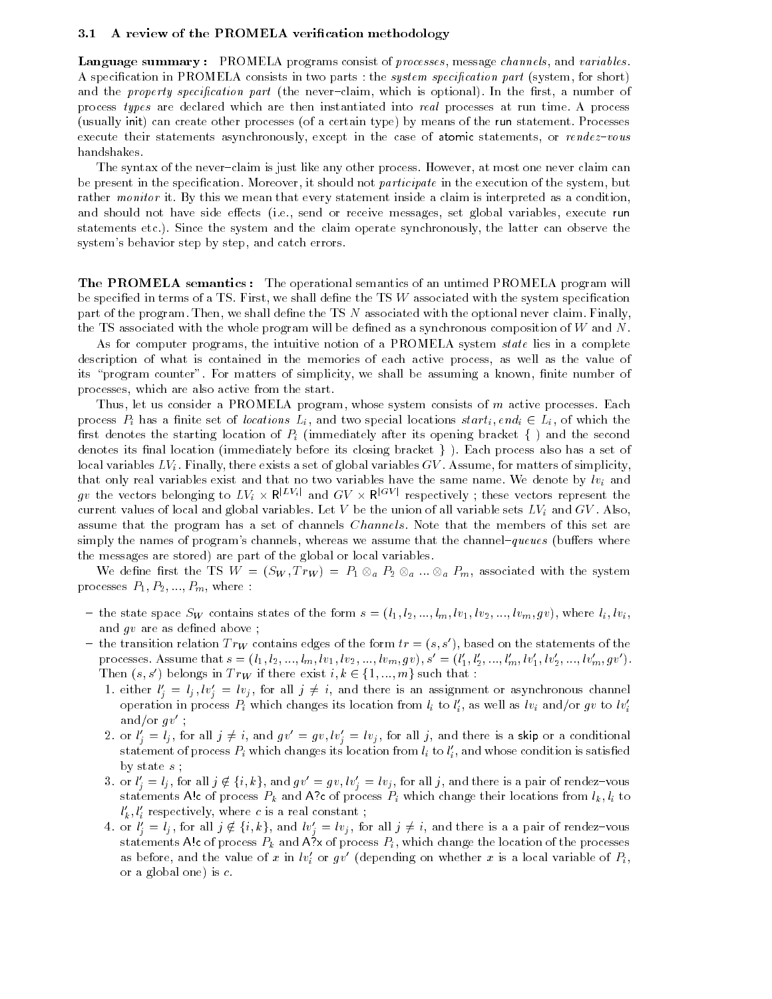#### 3.1 A review of the PROMELA verification methodology

Language summary : PROMELA programs consist of *processes*, message *channels*, and *variables*.<br>A specification in PROMELA consists in two parts : the *system specification part* (system, for short) and the *property specification part* (the never-claim, which is optional). In the first, a number of process types are declared which are then instantiated into real processes at run time. A process (usually init) can create other processes (of a certain type) by means of the run statement. Processes execute their statements asynchronously, except in the case of atomic statements, or  $rendez-vous$ handshakes.

The syntax of the never-claim is just like any other process. However, at most one never claim can be present in the specification. Moreover, it should not *participate* in the execution of the system, but rather monitor it. By this we mean that every statement inside a claim is interpreted as a condition, and should not have side effects (i.e., send or receive messages, set global variables, execute run statements etc.). Since the system and the claim operate synchronously, the latter can observe the system's behavior step by step, and catch errors.

**The PROMELA semantics:** The operational semantics of an untimed PROMELA program will be specified in terms of a TS. First, we shall define the TS  $W$  associated with the system specification part of the program. Then, we shall define the TS N associated with the optional never claim. Finally, the TS associated with the whole program will be defined as a synchronous composition of  $W$  and  $N$ .

As for computer programs, the intuitive notion of a PROMELA system *state* lies in a complete description of what is contained in the memories of each active process, as well as the value of its "program counter". For matters of simplicity, we shall be assuming a known, finite number of processes, which are also active from the start.

Thus, let us consider a PROMELA program, whose system consists of m active processes. Each process  $P_i$  has a finite set of locations  $L_i$ , and two special locations  $start_i, end_i \in L_i$ , of which the first denotes the starting location of  $P_i$  (immediately after its opening bracket  $\{\,\,\}$ ) and the second denotes its final location (immediately before its closing bracket  $\}$ ). Each process also has a set of local variables  $LV_i$ . Finally, there exists a set of global variables  $GV$ . Assume, for matters of simplicity, that only real variables exist and that no two variables have the same name. We denote by  $lv_i$  and gv the vectors belonging to  $LV_i \times \mathsf{R}^{|LV_i|}$  and  $GV \times \mathsf{R}^{|GV|}$  respectively; these vectors represent the current values of local and global variables. Let V be the union of all variable sets  $LV_i$  and  $GV$ . Also, assume that the program has a set of channels Channels. Note that the members of this set are simply the names of program's channels, whereas we assume that the channel-queues (buffers where the messages are stored) are part of the global or local variables.

We define first the TS  $W = (S_W, Tr_W) = P_1 \otimes_a P_2 \otimes_a ... \otimes_a P_m$ , associated with the system processes  $P_1, P_2, ..., P_m$ , where :

- the state space Sw contains states of the form  $s = (l_1, l_2, ..., l_m, l v_1, l v_2, ..., l v_m, gv)$ , where  $l_i, l v_i$ , and  $gv$  are as defined above;
- the transition relation  $Tr_W$  contains edges of the form  $tr = (s, s')$ , based on the statements of the processes. Assume that  $s = (l_1, l_2, ..., l_m, l v_1, l v_2, ..., l v_m, g v)$ ,  $s' = (l'_1, l'_2, ..., l'_m, l v'_1, l v'_2, ..., l v'_m, g v')$ .<br>Then  $(s, s')$  belongs i processes. Assume that  $s = (i_1, i_2, ..., i_m, i v_1, i v_2, ..., i v_m, g v)$ ,  $s = (i_1, i_2, ..., i_m, i v_1, i v_2, ..., i v_m, g v)$ .
	- 1. either  $l'_i = l_j, l v'_i = l v_j$ , for all  $j \neq i$ , and there is an assignment or asynchronous channel operation in process  $P_i$  which changes its location from  $\iota_i$  to  $\iota_i$ , as well as  $\iota v_i$  and/or  $gv$  to  $\iota v_i$ and/or  $gv'$ ;
	- 2. or  $l'_i = l_j$ , for all  $j \neq i$ , and  $gv' = gv, lv'_i = ly_j$ , for all j, and there is a skip or a conditional statement of process  $P_i$  which changes its location from  $\iota_i$  to  $\iota_i,$  and whose condition is satisfied by state s ; statement of process  $P_i$  which changes its location from  $l_i$  to  $l'_i$ , and whose condition is satisfied<br>by state  $s$ ;<br>3. or  $l'_i = l_j$ , for all  $j \notin \{i, k\}$ , and  $gv' = gv, lv'_i = ly_j$ , for all  $j$ , and there is a pair of rendez-v
	- statements A!c of process  $P_k$  and A?c of process  $P_i$  which change their locations from  $l_k, l_i$  to  $l_k, l_i$  respectively, where c is a real constant ; statements A!c of process  $P_k$  and A?c of process  $P_i$  which change their locations from  $l_k, l_i$  to  $l'_k, l'_i$  respectively, where c is a real constant;<br>4. or  $l'_i = l_j$ , for all  $j \notin \{i, k\}$ , and  $lv'_i = lv_j$ , for all  $j \neq i$ ,
	- statements A!c of process  $P_k$  and A?x of process  $P_i$ , which change the location of the processes as before, and the value of x in  $w_i$  or  $gv$  (depending on whether x is a local variable of  $F_i$ , or a global one) is c.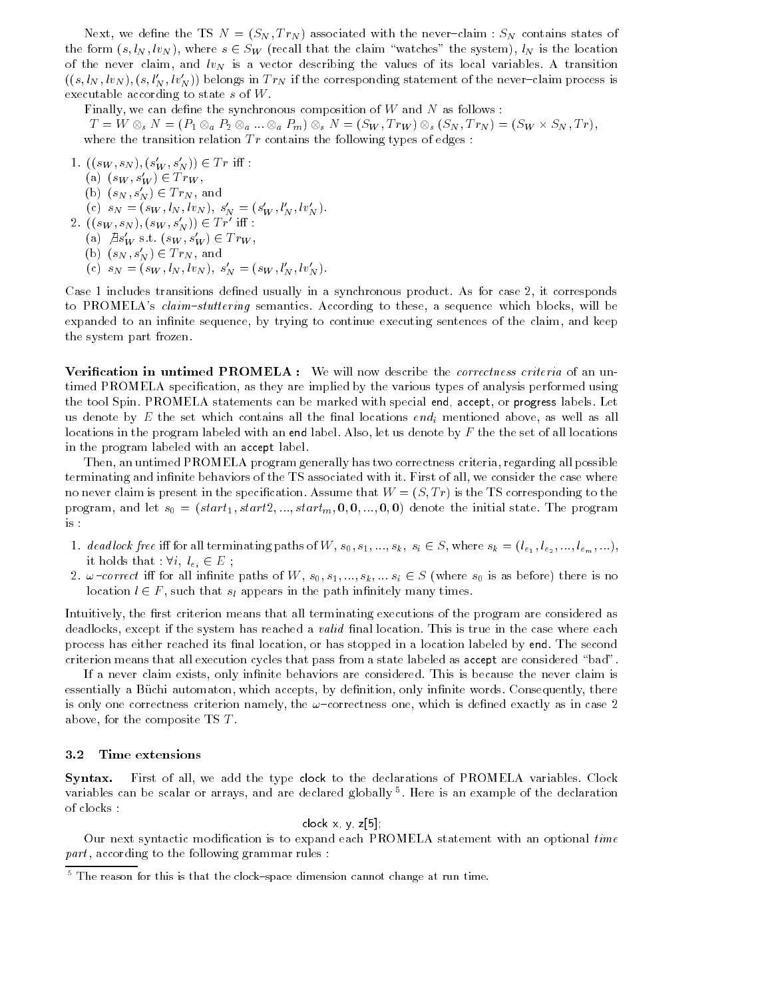Next, we define the TS  $N = (S_N, Tr_N)$  associated with the never-claim :  $S_N$  contains states of the form  $(s, l_N, l_{N_s})$ , where  $s \in S_W$  (recall that the claim "watches" the system),  $l_N$  is the location of the never claim, and  $lv<sub>N</sub>$  is a vector describing the values of its local variables. A transition  $((s, l_N, l v_N), (s, l'_N, l v'_N))$  belongs in  $Tr_N$  if the corresponding statement of the never-claim process is executable according to state s of W.

Finally, we can define the synchronous composition of  $W$  and  $N$  as follows:  $T = W \otimes_s N = (P_1 \otimes_a P_2 \otimes_a ... \otimes_a P_m) \otimes_s N = (S_W, Tr_W) \otimes_s (S_N, Tr_N) = (S_W \times S_N, Tr),$ where the transition relation  $Tr$  contains the following types of edges :

1.  $((s_W, s_N), (s_W', s_N')) \in Tr \text{ iff : }$ (a)  $(s_W, s'_W) \in Tr_W$ , (b)  $(s_N, s'_N) \in Tr_N$ , and (c)  $s_N = (s_W, \iota_N, \iota v_N), s_N = (s_W, \iota_N, \iota v_N).$ 2.  $((s_W, s_N), (s_W, s'_N)) \in Tr'$  iff : (a)  $\beta s_W$  s.t.  $(s_W, s_W') \in Tr_W$ , (b)  $(s_N, s'_N) \in Tr_N$ , and (c)  $s_N = (s_W, l_N, l_{VN}), s'_N = (s_W, l'_N, l_{V'_N}).$ 

Case 1 includes transitions defined usually in a synchronous product. As for case 2, it corresponds to PROMELA's claim-stuttering semantics. According to these, a sequence which blocks, will be expanded to an infinite sequence, by trying to continue executing sentences of the claim, and keep the system part frozen.

**Verification in untimed PROMELA** : We will now describe the *correctness criteria* of an untimed PROMELA specification, as they are implied by the various types of analysis performed using the tool Spin. PROMELA statements can be marked with special end, accept, or progress labels. Let us denote by  $E$  the set which contains all the final locations  $end_i$  mentioned above, as well as all locations in the program labeled with an end label. Also, let us denote by  $F$  the the set of all locations in the program labeled with an accept label.

Then, an untimed PROMELA program generally has two correctness criteria, regarding all possible terminating and infinite behaviors of the TS associated with it. First of all, we consider the case where no never claim is present in the specification. Assume that  $W = (S, Tr)$  is the TS corresponding to the program, and let  $s_0 = (start_1, start_2, ..., start_m, 0, 0, ..., 0, 0)$  denote the initial state. The program is :

- 1. dead lock free iff for all terminating paths of W,  $s_0, s_1, ..., s_k, s_i \in S$ , where  $s_k = (l_{\epsilon_1}, l_{\epsilon_2}, ..., l_{\epsilon_m}, ...)$ , it holds that :  $\forall i, l_{e_i} \in E$ ;
- 2.  $\omega$ -correct iff for all infinite paths of W,  $s_0, s_1, ..., s_k, ...$   $s_i \in S$  (where  $s_0$  is as before) there is no location  $l \in F$ , such that  $s_l$  appears in the path infinitely many times.

Intuitively, the first criterion means that all terminating executions of the program are considered as deadlocks, except if the system has reached a *valid* final location. This is true in the case where each process has either reached its final location, or has stopped in a location labeled by end. The second criterion means that all execution cycles that pass from a state labeled as accept are considered \bad".

If a never claim exists, only infinite behaviors are considered. This is because the never claim is essentially a Büchi automaton, which accepts, by definition, only infinite words. Consequently, there is only one correctness criterion namely, the  $\omega$ -correctness one, which is defined exactly as in case 2 above, for the composite TS T .

#### 3.2 Time extensions

Syntax. First of all, we add the type clock to the declarations of PROMELA variables. Clock variables can be scalar or arrays, and are declared globally <sup>5</sup> . Here is an example of the declaration of clocks :

#### clock x, y, z[5];

Our next syntactic modification is to expand each PROMELA statement with an optional time  $part$ , according to the following grammar rules :

 $^\circ$  line reason for this is that the clock—space dimension cannot change at run time.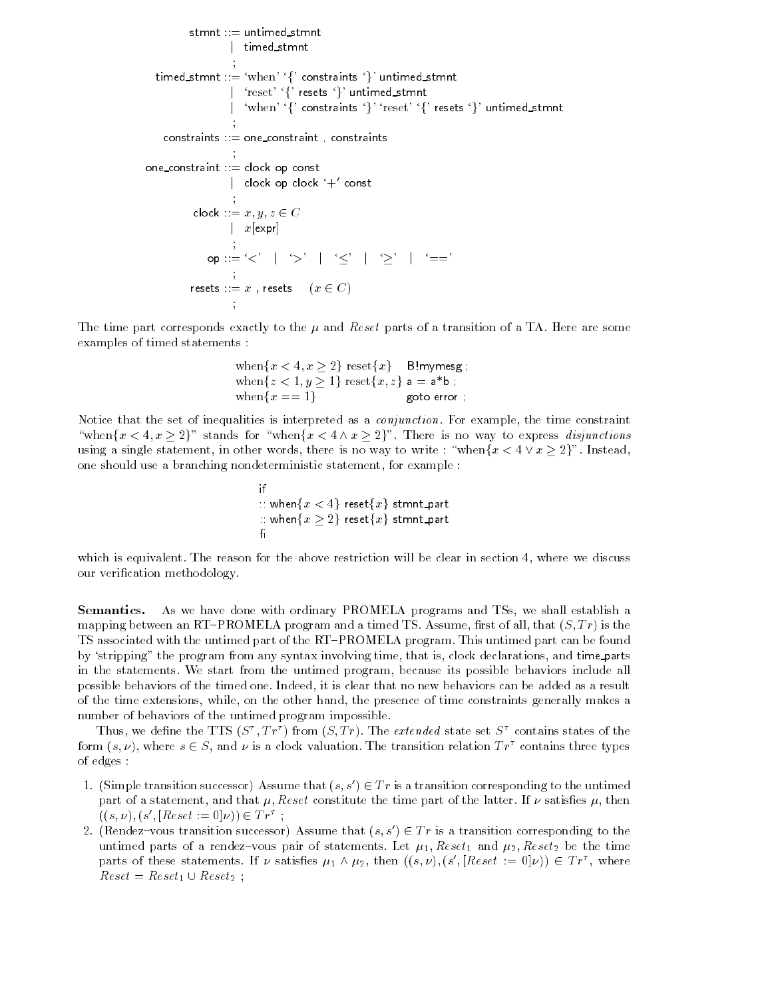```
stmnt ::= untimed stmnt
                                          j timed stmnt
                                           The Common Section 1999
     timed_stmnt ::= 'when' '{' constraints '}' untimed_stmnt
                                          \sim``reset' '\ resets '}' untimed_stmnt
                                          junior de la construcción de la construcción de la construcción de la construcción de la construcción de la construcción de la construcción de la construcción de la construcción de la construcción de la construcción de la 
                                             'when' '{' constraints '}' 'reset' '{' resets '}' untimed_stmnt
                                           Service Contractor Contractor Contractor Contractor Contractor Contractor Contractor Contractor Contractor
         constraints \equiv one constraint , constraints
                                           Service Contractor Contractor Contractor Contractor Contractor Contractor Contractor Contractor Contractor
one_constraint ::= clock op const
                                          | clock op clock `+' const\hskip1cmService Contractor Contractor Contractor Contractor Contractor Contractor Contractor Contractor Contractor
                       clock ::= x, y, z \in C|x[expr]op ::=\{<` \mid '>` \mid '<` \mid '>` \mid '=='\}SECURE 2004 - 2004 - 2004 - 2004 - 2004 - 2004 - 2004 - 2004 - 2004 - 2004 - 2004 - 2004 - 2004 - 2004 - 2004
                      resets ::= x, resets (x \in C)
```
The time part corresponds exactly to the  $\mu$  and Reset parts of a transition of a TA. Here are some examples of timed statements :

**The Common Section 1999** 

$$
\begin{array}{ll}\text{when}\{x < 4, x \ge 2\} \text{ reset}\{x\} & \text{Blmymesg} \\ \text{when}\{z < 1, y \ge 1\} \text{ reset}\{x, z\} \text{ a = a*b} \\ \text{when}\{x == 1\} & \text{goto error} \end{array};
$$

Notice that the set of inequalities is interpreted as a *conjunction*. For example, the time constraint "when $\{x < 4, x \geq 2\}$ " stands for "when $\{x < 4 \land x \geq 2\}$ ". There is no way to express disjunctions using a single statement, in other words, there is no way to write : "when $\{x < 4 \vee x \ge 2\}$ ". Instead, one should use a branching nondeterministic statement, for example :

> if  $\mathbb{R}^n$  when $\{x < 4\}$  reset $\{x\}$  stmnt\_part  $\therefore$  when $\{x \geq 2\}$  reset $\{x\}$  stmnt\_part  $f_1$

which is equivalent. The reason for the above restriction will be clear in section 4, where we discuss our verication methodology.

Semantics. As we have done with ordinary PROMELA programs and TSs, we shall establish a mapping between an RT-PROMELA program and a timed TS. Assume, first of all, that  $(S, Tr)$  is the TS associated with the untimed part of the RT-PROMELA program. This untimed part can be found by `stripping" the program from any syntax involving time, that is, clock declarations, and time parts in the statements. We start from the untimed program, because its possible behaviors include all possible behaviors of the timed one. Indeed, it is clear that no new behaviors can be added as a result of the time extensions, while, on the other hand, the presence of time constraints generally makes a number of behaviors of the untimed program impossible.

Thus, we define the TTS (S  $, T$  ) from (S, T r). The extended state set S contains states of the form  $(s, \nu)$ , where  $s \in S$ , and  $\nu$  is a clock valuation. The transition relation  $Tr^{\tau}$  contains three types of edges :

- 1. (Simple transition successor) Assume that  $(s, s') \in Tr$  is a transition corresponding to the untimed part of a statement, and that  $\mu$ , Reset constitute the time part of the latter. If  $\nu$  satisfies  $\mu$ , then  $((s, \nu), (s', [Reset := 0]\nu)) \in Tr^{\tau}$ ;
- 2. (Rendez-vous transition successor) Assume that  $(s, s') \in Tr$  is a transition corresponding to the untimed parts of a rendez-vous pair of statements. Let  $\mu_1$ , Reset<sub>1</sub> and  $\mu_2$ , Reset<sub>2</sub> be the time parts of these statements. If  $\nu$  satisfies  $\mu_1 \wedge \mu_2$ , then  $((s, \nu), (s', [Reset := 0]\nu)) \in Tr^{\tau}$ , where  $Reset = Reset_1 \cup Reset_2$ ;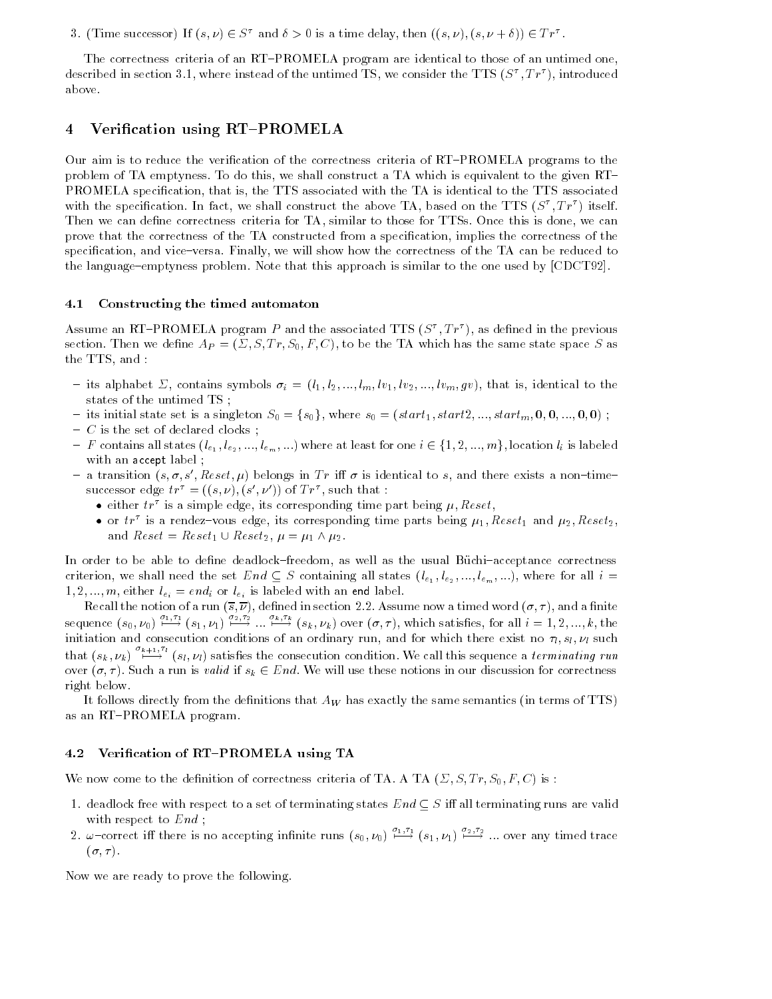3. (Time successor) If  $(s, \nu) \in S^{\tau}$  and  $\delta > 0$  is a time delay, then  $((s, \nu), (s, \nu + \delta)) \in Tr^{\tau}$ .

The correctness criteria of an RT-PROMELA program are identical to those of an untimed one, described in section 5.1, where instead of the untimed TS, we consider the TTS (S  $\,$ , Tr ), introduced above.

# 4 Verification using RT-PROMELA

Our aim is to reduce the verification of the correctness criteria of RT-PROMELA programs to the problem of TA emptyness. To do this, we shall construct a TA which is equivalent to the given RT PROMELA specication, that is, the TTS associated with the TA is identical to the TTS associated with the specification. In fact, we shall construct the above  $TA$ , based on the  $TTS$  ( $S$  ,  $IT$  ) itself. Then we can define correctness criteria for TA, similar to those for TTSs. Once this is done, we can prove that the correctness of the TA constructed from a specification, implies the correctness of the specification, and vice-versa. Finally, we will show how the correctness of the TA can be reduced to the language-emptyness problem. Note that this approach is similar to the one used by  $[CDCT92]$ .

### 4.1 Constructing the timed automaton

Assume an RT-PROMELA program P and the associated TTS (S), TP ), as defined in the previous section. Then we define  $A_P = (\Sigma, S, Tr, S_0, F, C)$ , to be the TA which has the same state space S as the TTS, and :

- its alphabet  $\Sigma$ , contains symbols  $\sigma_i = (l_1, l_2, ..., l_m, l_1, l_2, ..., l_m, gv)$ , that is, identical to the states of the untimed TS ;
- 
- ${\cal -}$  C is the set of declared clocks;
- its initial state set is a singleton  $S_0 = \{s_0\}$ , where  $s_0 = (start_1, start_2, ..., start_m, \mathbf{0}, \mathbf{0}, ..., \mathbf{0}, \mathbf{0})$ ;<br>
 *C* is the set of declared clocks;<br>
 *F* contains all states  $(l_{e_1}, l_{e_2}, ..., l_{e_m}, ...)$  where at least for one  $i \in \$ with an accept label ;
- $=$  a transition  $(s, \sigma, s', \text{Reset}, \mu)$  belongs in Tr iff  $\sigma$  is identical to s, and there exists a non-timesuccessor edge  $tr_{\parallel} = ((s, \nu), (s, \nu))$  of  $Tr_{\parallel}$ , such that :
	- either  $tr^{\tau}$  is a simple edge, its corresponding time part being  $\mu$ , Reset,
	- or  $tr^{\tau}$  is a rendez-vous edge, its corresponding time parts being  $\mu_1,$  Reset<sub>1</sub> and  $\mu_2,$  Reset<sub>2</sub>, and  $Reset = Reset_1 \cup Reset_2$ ,  $\mu = \mu_1 \wedge \mu_2$ .

In order to be able to define deadlock-freedom, as well as the usual Büchi-acceptance correctness criterion, we shall need the set End  $\subseteq S$  containing all states  $(l_{e_1}, l_{e_2},..., l_{e_m},...)$ , where for all  $i =$ 1, 2, ..., m, either  $l_{e_i} = end_i$  or  $l_{e_i}$  is labeled with an end label.

Recall the notion of a run  $(\overline{s}, \overline{\nu})$ , defined in section 2.2. Assume now a timed word  $(\sigma, \tau)$ , and a finite sequence  $(s_0, \nu_0)$   $\stackrel{\nu_1,\nu_1}{\longrightarrow}$   $(s_1, \nu_1)$   $\stackrel{\nu_2,\nu_2}{\longrightarrow}$   $\ldots$   $\stackrel{\nu_k,\nu_k}{\longrightarrow}$   $(s_k, \nu_k)$  over  $(\sigma, \tau)$ , which satisfies, for all  $i = 1, 2, \ldots, k$ , the initiation and consecution conditions of an ordinary run, and for which there exist no  $\tau_1$ ,  $s_1$ ,  $\nu_1$  such that  $(s_k, \nu_k)$   $\stackrel{\kappa+1}{\longleftarrow}$   $(s_l, \nu_l)$  satisfies the consecution condition. We call this sequence a terminating run over  $(\sigma, \tau)$ . Such a run is valid if  $s_k \in End$ . We will use these notions in our discussion for correctness right below.

It follows directly from the definitions that  $A_W$  has exactly the same semantics (in terms of TTS) as an RT-PROMELA program.

#### 4.2 Verification of RT-PROMELA using TA

We now come to the definition of correctness criteria of TA. A TA  $(\Sigma, S, Tr, S_0, F, C)$  is:

- 1. deadlock free with respect to a set of terminating states  $End \subseteq S$  iff all terminating runs are valid with respect to  $End$ ;
- 2.  $\omega$ -correct iff there is no accepting infinite runs  $(s_0, \nu_0) \stackrel{\nu_1}{\longmapsto} (s_1, \nu_1) \stackrel{\nu_2}{\longmapsto} \dots$  over any timed trace  $(\sigma, \tau)$ .

Now we are ready to prove the following.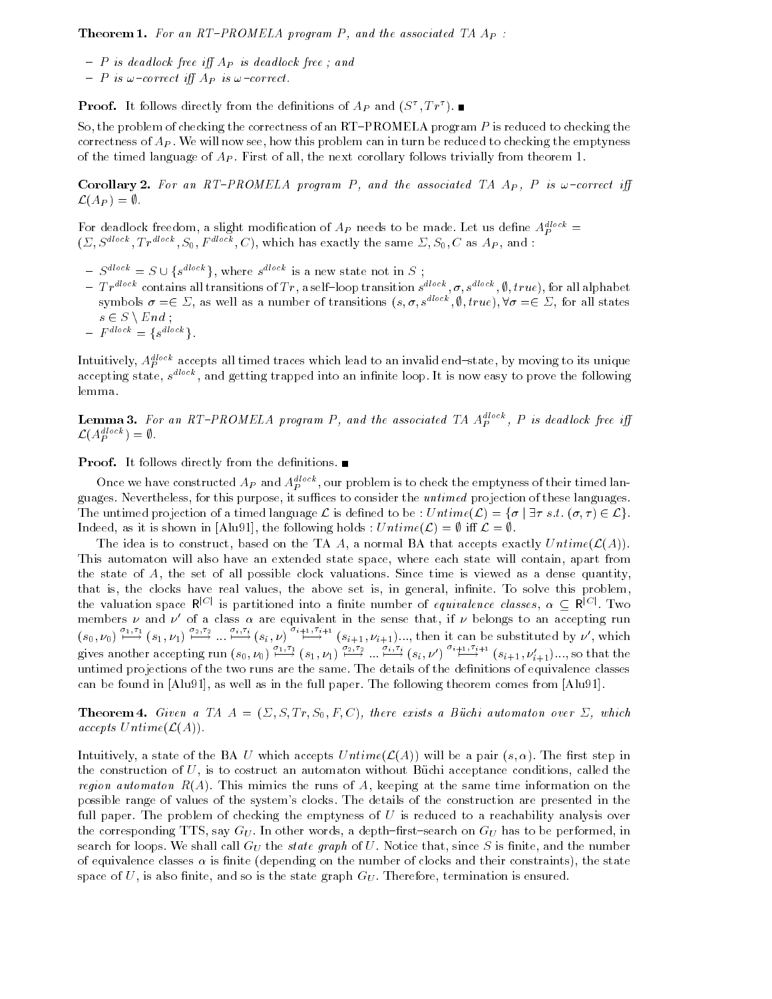**Theorem 1.** For an RT-PROMELA program P, and the associated TA  $A_P$ :

- ${\cal P}$  is dead lock free iff  $A_P$  is dead lock free; and
- $= P$  is  $\omega$ -correct iff  $A_P$  is  $\omega$ -correct.

**Proof.** It follows directly from the definitions of  $Ap$  and  $(S^+, IF^+)$ .

So, the problem of checking the correctness of an RT-PROMELA program P is reduced to checking the correctness of  $A_P$ . We will now see, how this problem can in turn be reduced to checking the emptyness of the timed language of  $A_P$ . First of all, the next corollary follows trivially from theorem 1.

**Corollary 2.** For an RT-PROMELA program P, and the associated TA A<sub>P</sub>, P is  $\omega$ -correct iff  $\mathcal{L}(A_P) = \emptyset.$ 

For deadlock freedom, a slight modification of  $Ap$  needs to be made. Let us define  $Ap =$  $(\Sigma, S^{dlock}, Tr^{dlock}, S_0, F^{dlock}, C)$ , which has exactly the same  $\Sigma, S_0, C$  as  $A_P$ , and :<br>  $\overline{S} = S \cup \{s^{dlock}\}\$ , where  $s^{dlock}$  is a new state not in S:

- $^{dlock}$ , where  $s^{dlock}$  is is a new state not in S  $\sim$  , the state  $\sim$
- $= Tr^{dlock}$  contains all transitions of Tr, a self-loop transition  $s^{dlock}, \sigma, s^{dlock}, \emptyset, true$ , for all alphabet symbols  $\sigma = \in \Sigma$ , as well as a number of transitions  $(s, \sigma, s^{dlock}, \emptyset, true), \forall \sigma = \in \Sigma$ , for all states  $s \in S \setminus End ;$
- $= F^{dlock} = \{ s^{dlock} \}.$

Intuitively,  $A_P^{\omega\cdots}$  accepts all timed traces which lead to an invalid end–state, by moving to its unique accepting state,  $s^{+++}$ , and getting trapped into an infinite loop. It is now easy to prove the following lemma.

**Lemma 3.** For an K1-PROMELA program P, and the associated IA A<sub>p</sub>, P is deadlock free iff  $\mathcal{L}(A_P^{dlock}) = \emptyset$  .

**Proof.** It follows directly from the definitions.  $\blacksquare$ 

Once we have constructed  $AP$  and  $A_P$  , our problem is to check the emptyness of their timed languages. Nevertheless, for this purpose, it suffices to consider the *untimed* projection of these languages. Once we have constructed  $A_P$  and  $A_P^{dlock}$ , our problem is to check the emptyness of their timed languages.<br>guages. Nevertheless, for this purpose, it suffices to consider the *untimed* projection of these languages.<br>The Indeed, as it is shown in [Alu91], the following holds :  $Untime(\mathcal{L}) = \emptyset$  iff  $\mathcal{L} = \emptyset$ .

The idea is to construct, based on the TA A, a normal BA that accepts exactly  $Untime(\mathcal{L}(A)).$ This automaton will also have an extended state space, where each state will contain, apart from the state of A, the set of all possible clock valuations. Since time is viewed as a dense quantity, that is, the clocks have real values, the above set is, in general, infinite. To solve this problem, the valuation space  $R^{|C|}$  is partitioned into a finite number of *equivalence classes*,  $\alpha \subseteq R^{|C|}$ . Two members  $\nu$  and  $\nu$  of a class  $\alpha$  are equivalent in the sense that, if  $\nu$  belongs to an accepting run  $(s_0, \nu_0)$  i.  $(1, \nu_1)$  is  $(2, \nu_2)$  in  $(\nu_1, \nu_2)$  in  $(\nu_1, \nu_2)$  in  $(1, \nu_1)$  in  $(1, \nu_2)$  in the substituted by  $\nu'$ , which gives another accepting run  $(s_0, \nu_0) \stackrel{\nu_1, \nu_1}{\longrightarrow} (s_1, \nu_1) \stackrel{\nu_2, \nu_3}{\longrightarrow} \dots \stackrel{\nu_{i+1}}{\longrightarrow} (s_i, \nu') \stackrel{\nu_{i+1}, \nu_{i+1}}{\longrightarrow} (s_{i+1}, \nu'_{i+1}) \dots$ , so that the untimed projections of the two runs are the same. The details of the definitions of equivalence classes can be found in [Alu91], as well as in the full paper. The following theorem comes from [Alu91].

**Theorem 4.** Given a TA  $A = (\Sigma, S, Tr, S_0, F, C)$ , there exists a Büchi automaton over  $\Sigma$ , which accepts  $\operatorname{Untime}(\mathcal{L}(A)).$ 

Intuitively, a state of the BA U which accepts  $Untime(\mathcal{L}(A))$  will be a pair  $(s, \alpha)$ . The first step in the construction of  $U$ , is to costruct an automaton without Büchi acceptance conditions, called the region automaton  $R(A)$ . This mimics the runs of A, keeping at the same time information on the possible range of values of the system's clocks. The details of the construction are presented in the full paper. The problem of checking the emptyness of  $U$  is reduced to a reachability analysis over the corresponding TTS, say  $G_U$ . In other words, a depth-first-search on  $G_U$  has to be performed, in search for loops. We shall call  $G_U$  the *state graph* of U. Notice that, since S is finite, and the number of equivalence classes  $\alpha$  is finite (depending on the number of clocks and their constraints), the state space of U, is also finite, and so is the state graph  $G_U$ . Therefore, termination is ensured.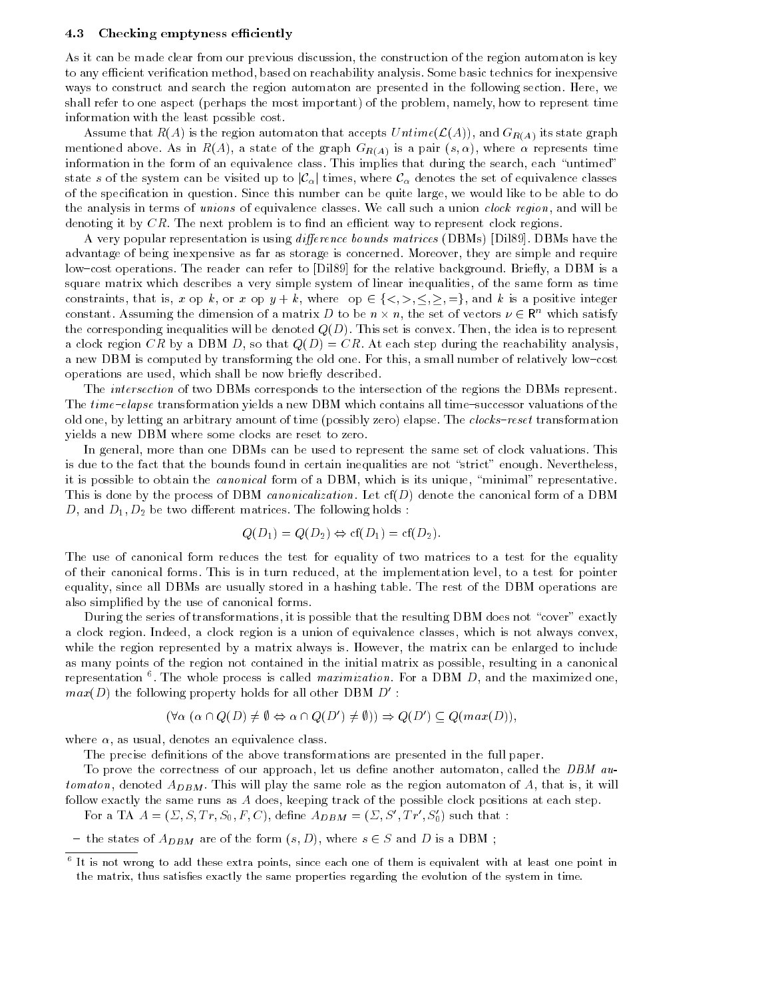#### 4.3 Checking emptyness efficiently

As it can be made clear from our previous discussion, the construction of the region automaton is key to any efficient verification method, based on reachability analysis. Some basic technics for inexpensive ways to construct and search the region automaton are presented in the following section. Here, we shall refer to one aspect (perhaps the most important) of the problem, namely, how to represent time information with the least possible cost.

Assume that  $R(A)$  is the region automaton that accepts  $Untime(\mathcal{L}(A))$ , and  $G_{R(A)}$  its state graph mentioned above. As in  $R(A)$ , a state of the graph  $G_{R(A)}$  is a pair  $(s, \alpha)$ , where  $\alpha$  represents time information in the form of an equivalence class. This implies that during the search, each "untimed" state s of the system can be visited up to  $|\mathcal{C}_\alpha|$  times, where  $\mathcal{C}_\alpha$  denotes the set of equivalence classes of the specification in question. Since this number can be quite large, we would like to be able to do the analysis in terms of unions of equivalence classes. We call such a union *clock region*, and will be denoting it by  $CR$ . The next problem is to find an efficient way to represent clock regions.

A very popular representation is using *difference bounds matrices* (DBMs) [Dil89]. DBMs have the advantage of being inexpensive as far as storage is concerned. Moreover, they are simple and require low-cost operations. The reader can refer to [Dil89] for the relative background. Briefly, a DBM is a square matrix which describes a very simple system of linear inequalities, of the same form as time low-cost operations. The reader can refer to [Dil89] for the relative background. Briefly, a DBM is a<br>square matrix which describes a very simple system of linear inequalities, of the same form as time<br>constraints, that i constant. Assuming the dimension of a matrix D to be  $n \times n$ , the set of vectors  $\nu \in \mathbb{R}^n$  which satisfy the corresponding inequalities will be denoted  $Q(D)$ . This set is convex. Then, the idea is to represent a clock region CR by a DBM D, so that  $Q(D) = CR$ . At each step during the reachability analysis, a new DBM is computed by transforming the old one. For this, a small number of relatively low-cost operations are used, which shall be now briefly described.

The intersection of two DBMs corresponds to the intersection of the regions the DBMs represent. The  $time$ -elapse transformation yields a new DBM which contains all time-successor valuations of the old one, by letting an arbitrary amount of time (possibly zero) elapse. The *clocks-reset* transformation yields a new DBM where some clocks are reset to zero.

In general, more than one DBMs can be used to represent the same set of clock valuations. This is due to the fact that the bounds found in certain inequalities are not "strict" enough. Nevertheless, it is possible to obtain the *canonical* form of a DBM, which is its unique, "minimal" representative. This is done by the process of DBM *canonicalization*. Let  $cf(D)$  denote the canonical form of a DBM D, and  $D_1, D_2$  be two different matrices. The following holds:

$$
Q(D_1) = Q(D_2) \Leftrightarrow cf(D_1) = cf(D_2).
$$

The use of canonical form reduces the test for equality of two matrices to a test for the equality of their canonical forms. This is in turn reduced, at the implementation level, to a test for pointer equality, since all DBMs are usually stored in a hashing table. The rest of the DBM operations are also simplied by the use of canonical forms.

During the series of transformations, it is possible that the resulting DBM does not "cover" exactly a clock region. Indeed, a clock region is a union of equivalence classes, which is not always convex, while the region represented by a matrix always is. However, the matrix can be enlarged to include as many points of the region not contained in the initial matrix as possible, resulting in a canonical representation  $\blacksquare$ . The whole process is called maximization. For a DBM  $D$ , and the maximized one,  $max(D)$  the following property holds for all other DBM  $D$  : (8 ( $\alpha \cap Q(D) \neq \emptyset \Leftrightarrow \alpha \cap Q(D') \neq \emptyset$ ))  $\Rightarrow Q(D') \subset Q(max(D)).$ 

$$
(\forall \alpha \ (\alpha \cap Q(D) \neq \emptyset \Leftrightarrow \alpha \cap Q(D') \neq \emptyset)) \Rightarrow Q(D') \subseteq Q(max(D)),
$$

where  $\alpha$ , as usual, denotes an equivalence class.

The precise definitions of the above transformations are presented in the full paper.

To prove the correctness of our approach, let us define another automaton, called the  $DBM$  automaton, denoted  $A_{DBM}$ . This will play the same role as the region automaton of A, that is, it will follow exactly the same runs as A does, keeping track of the possible clock positions at each step.

For a TA  $A = (\Sigma, S, Tr, S_0, F, C)$ , define  $A_{DBM} = (\Sigma, S', Tr', S_0')$  such that :

- the states of  $A_{DBM}$  are of the form  $(s, D)$ , where  $s \in S$  and D is a DBM;

<sup>6</sup> It is not wrong to add these extra points, since each one of them is equivalent with at least one point in the matrix, thus satises exactly the same properties regarding the evolution of the system in time.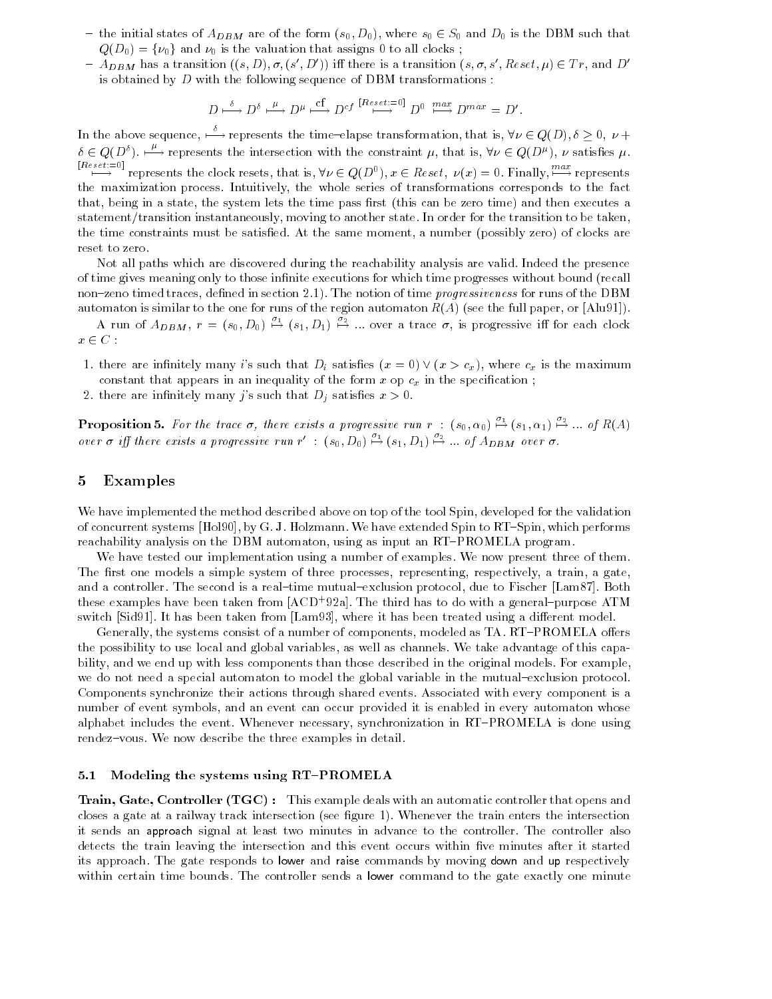- the initial states of  $A_{DBM}$  are of the form  $(s_0, D_0)$ , where  $s_0 \in S_0$  and  $D_0$  is the DBM such that  $Q(D_0) = \{\nu_0\}$  and  $\nu_0$  is the valuation that assigns 0 to all clocks;
- ${\cal A}_{DBM}$  has a transition  $((s, D), \sigma, (s', D'))$  iff there is a transition  $(s, \sigma, s', Rest, \mu) \in Tr$ , and D' is obtained by  $D$  with the following sequence of DBM transformations :

$$
D \xrightarrow{\delta} D^{\delta} \xrightarrow{\mu} D^{\mu} \xrightarrow{\text{cf}} D^{cf} \xrightarrow{[Reset:=0]} D^0 \xrightarrow{max} D^{max} = D'.
$$

In the above sequence,  $\stackrel{\circ}{\longrightarrow}$  represents the time-elapse transformation, that is,  $\forall \nu \in Q(D)$ ,  $\delta \geq 0$ ,  $\nu +$  $\delta \in Q(D^{\delta})$ .  $\stackrel{\mu}{\longrightarrow}$  represents the intersection with the constraint  $\mu$ , that is,  $\forall \nu \in Q(D^{\mu})$ ,  $\nu$  satisfies  $\mu$ .  $\sum_{i=0}^{n \text{ terms}}$  represents the clock resets, that is,  $\forall \nu \in Q(D^0), x \in \text{Reset}, \nu(x) = 0$ . Finally,  $\sum_{i=0}^{n \text{ terms}}$  represents the maximization process. Intuitively, the whole series of transformations corresponds to the fact that, being in a state, the system lets the time pass first (this can be zero time) and then executes a statement/transition instantaneously, moving to another state. In order for the transition to be taken, the time constraints must be satised. At the same moment, a number (possibly zero) of clocks are reset to zero.

Not all paths which are discovered during the reachability analysis are valid. Indeed the presence of time gives meaning only to those infinite executions for which time progresses without bound (recall non-zeno timed traces, defined in section 2.1). The notion of time *progressiveness* for runs of the DBM automaton is similar to the one for runs of the region automaton  $R(A)$  (see the full paper, or [Alu91]).

A run of  $A_{DBM}$ ,  $r = (s_0, D_0) \stackrel{\omega_1}{\mapsto} (s_1, D_1) \stackrel{\omega_2}{\mapsto} ...$  over a trace  $\sigma$ , is progressive iff for each clock  $x \in C$ :

- 1. there are infinitely many i's such that  $D_i$  satisfies  $(x = 0) \vee (x > c_x)$ , where  $c_x$  is the maximum constant that appears in an inequality of the form  $x$  op  $c_x$  in the specification;
- 2. there are infinitely many j's such that  $D_j$  satisfies  $x > 0$ .

**Proposition 5.** For the trace  $\sigma$ , there exists a progressive run  $r : (s_0, \alpha_0) \stackrel{\circ}{\mapsto} (s_1, \alpha_1) \stackrel{\circ}{\mapsto} ...$  of  $R(A)$ over  $\sigma$  iff there exists a progressive run r' :  $(s_0, D_0) \stackrel{\omega_1}{\mapsto} (s_1, D_1) \stackrel{\omega_2}{\mapsto} ...$  of  $A_{DBM}$  over  $\sigma$ .

# 5 Examples

We have implemented the method described above on top of the tool Spin, developed for the validation of concurrent systems [Hol90], by G. J. Holzmann. We have extended Spin to RT-Spin, which performs reachability analysis on the DBM automaton, using as input an RT-PROMELA program.

We have tested our implementation using a number of examples. We now present three of them. The first one models a simple system of three processes, representing, respectively, a train, a gate, and a controller. The second is a real-time mutual-exclusion protocol, due to Fischer [Lam87]. Both these examples have been taken from  $|{\rm ACD}$  +  $y_{2a}|$ . The third has to do with a general=purpose  ${\rm ATM}$ switch [Sid91]. It has been taken from [Lam93], where it has been treated using a different model.

Generally, the systems consist of a number of components, modeled as TA. RT-PROMELA offers the possibility to use local and global variables, as well as channels. We take advantage of this capability, and we end up with less components than those described in the original models. For example, we do not need a special automaton to model the global variable in the mutual-exclusion protocol. Components synchronize their actions through shared events. Associated with every component is a number of event symbols, and an event can occur provided it is enabled in every automaton whose alphabet includes the event. Whenever necessary, synchronization in RT-PROMELA is done using rendez-vous. We now describe the three examples in detail.

### 5.1 Modeling the systems using RT-PROMELA

**Train, Gate, Controller (TGC)**: This example deals with an automatic controller that opens and closes a gate at a railway track intersection (see gure 1). Whenever the train enters the intersection it sends an approach signal at least two minutes in advance to the controller. The controller also detects the train leaving the intersection and this event occurs within five minutes after it started its approach. The gate responds to lower and raise commands by moving down and up respectively within certain time bounds. The controller sends a lower command to the gate exactly one minute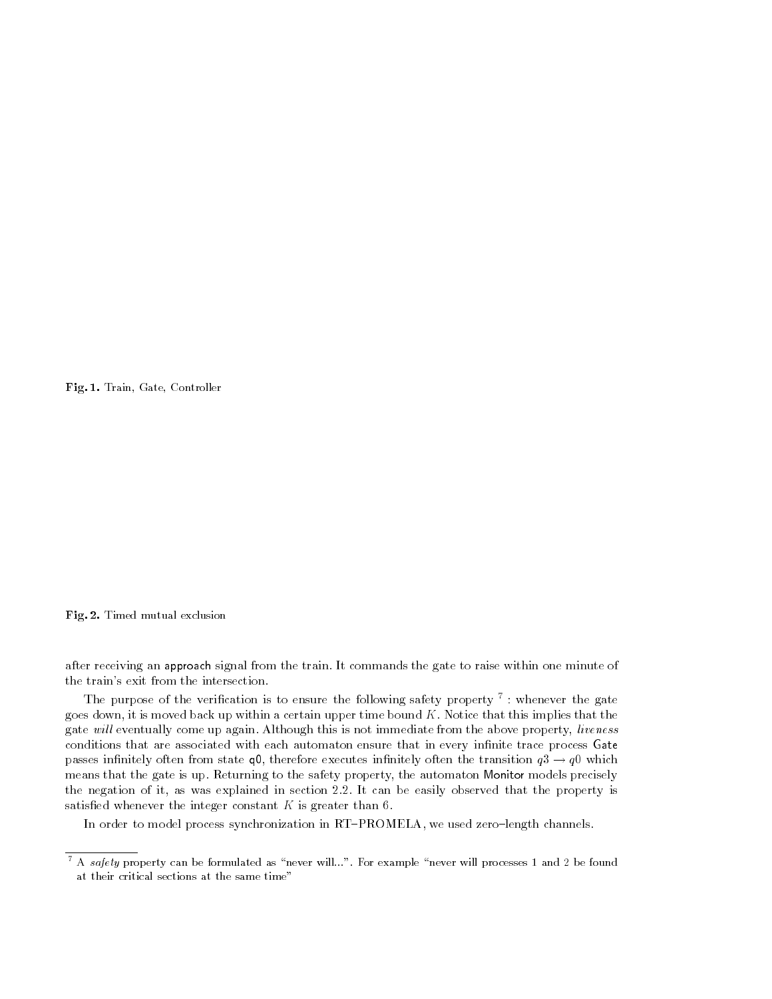Fig. 1. Train, Gate, Controller

#### Fig. 2. Timed mutual exclusion

after receiving an approach signal from the train. It commands the gate to raise within one minute of the train's exit from the intersection.

The purpose of the verication is to ensure the following safety property <sup>7</sup> : whenever the gate goes down, it is moved back up within a certain upper time bound  $K$ . Notice that this implies that the gate will eventually come up again. Although this is not immediate from the above property, liveness conditions that are associated with each automaton ensure that in every infinite trace process Gate passes infinitely often from state q0, therefore executes infinitely often the transition  $q3 \rightarrow q0$  which means that the gate is up. Returning to the safety property, the automaton Monitor models precisely the negation of it, as was explained in section 2.2. It can be easily observed that the property is satisfied whenever the integer constant  $K$  is greater than 6.

In order to model process synchronization in RT-PROMELA, we used zero-length channels.

 $\,$  A safety property can be formulated as  $\,$  never will...". For example  $\,$  never will processes 1 and 2 be found at their critical sections at the same time"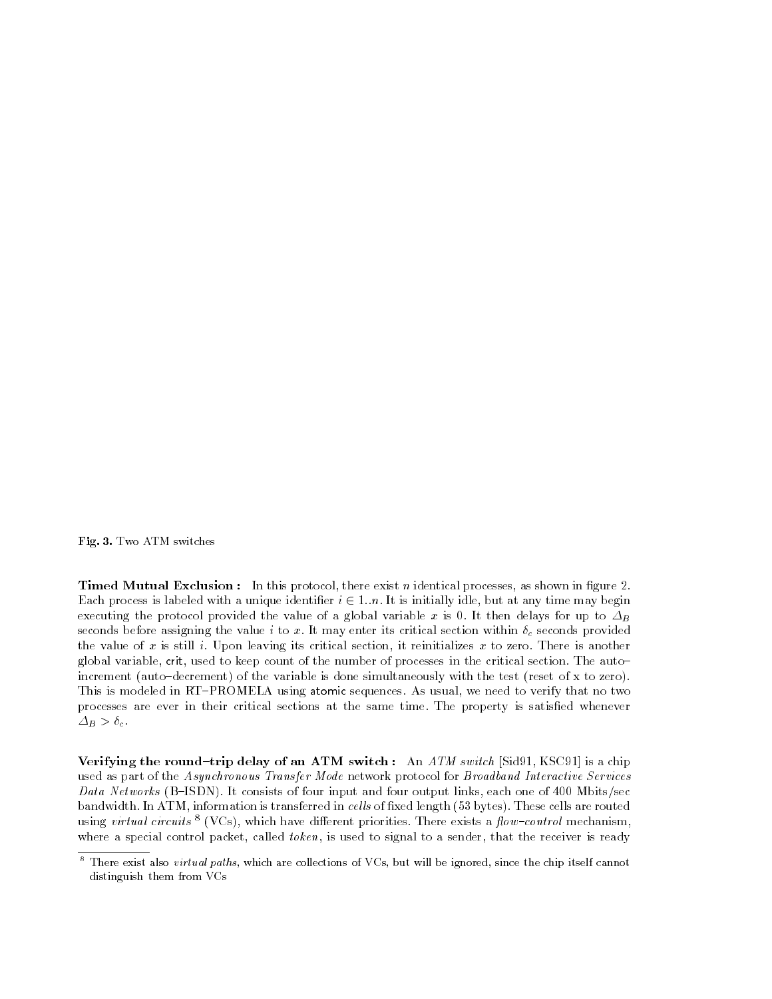Fig. 3. Two ATM switches

**Timed Mutual Exclusion:** In this protocol, there exist *n* identical processes, as shown in figure 2. Each process is labeled with a unique identifier  $i \in 1..n$ . It is initially idle, but at any time may begin executing the protocol provided the value of a global variable x is 0. It then delays for up to  $\Delta_B$ seconds before assigning the value i to x. It may enter its critical section within  $\delta_c$  seconds provided the value of x is still i. Upon leaving its critical section, it reinitializes x to zero. There is another global variable, crit, used to keep count of the number of processes in the critical section. The auto{ increment (auto-decrement) of the variable is done simultaneously with the test (reset of x to zero). This is modeled in RT-PROMELA using atomic sequences. As usual, we need to verify that no two processes are ever in their critical sections at the same time. The property is satised whenever  $\Delta_B > \delta_c$ .

Verifying the round-trip delay of an ATM switch : An  $ATM$  switch [Sid91, KSC91] is a chip used as part of the Asynchronous Transfer Mode network protocol for Broadband Interactive Services Data Networks (B-ISDN). It consists of four input and four output links, each one of 400 Mbits/sec bandwidth. In ATM, information is transferred in cells of fixed length (53 bytes). These cells are routed using *virtual circuits*  $\cdot$  (VCs), which have different priorities. There exists a *flow-control* mechanism, where a special control packet, called *token*, is used to signal to a sender, that the receiver is ready

 $^\circ$  1 here exist also  $virtual$   $paths$ , which are collections of VUs, but will be ignored, since the chip itself cannot distinguish them from VCs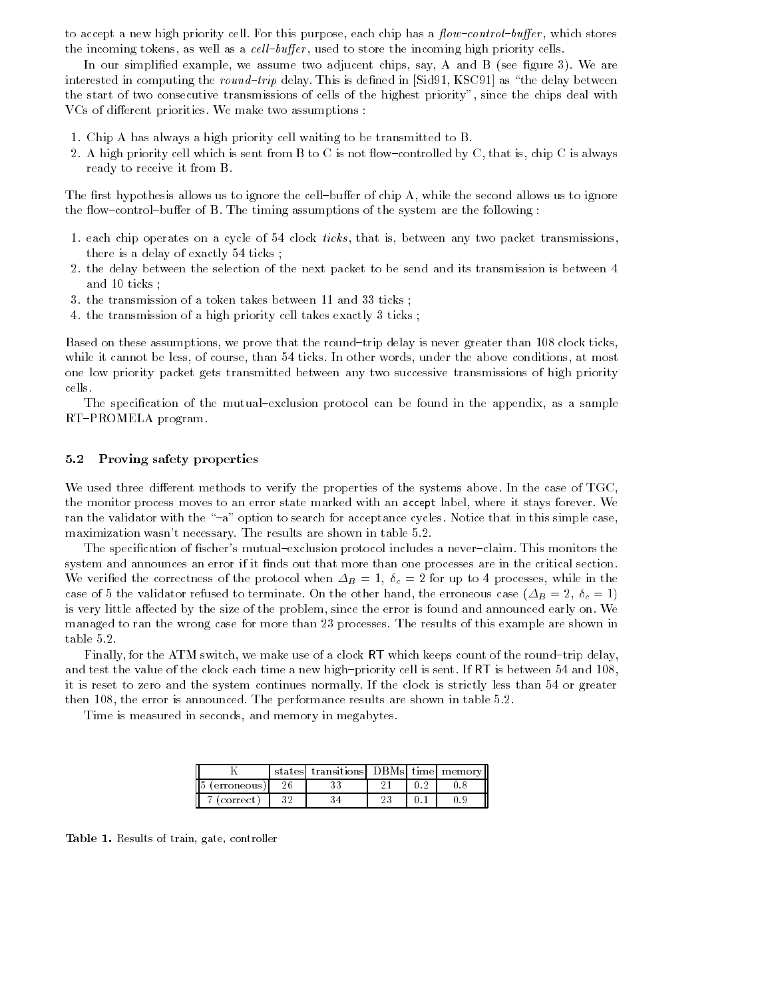to accept a new high priority cell. For this purpose, each chip has a  $flow$ -control-buffer, which stores the incoming tokens, as well as a *cell-buffer*, used to store the incoming high priority cells.

In our simplified example, we assume two adjucent chips, say,  $A$  and  $B$  (see figure 3). We are interested in computing the round-trip delay. This is defined in [Sid91, KSC91] as "the delay between the start of two consecutive transmissions of cells of the highest priority", since the chips deal with VCs of different priorities. We make two assumptions :

- 1. Chip A has always a high priority cell waiting to be transmitted to B.
- 2. A high priority cell which is sent from B to C is not flow-controlled by C, that is, chip C is always ready to receive it from B.

The first hypothesis allows us to ignore the cell-buffer of chip A, while the second allows us to ignore the flow-control-buffer of B. The timing assumptions of the system are the following :

- 1. each chip operates on a cycle of 54 clock *ticks*, that is, between any two packet transmissions, there is a delay of exactly 54 ticks ;
- 2. the delay between the selection of the next packet to be send and its transmission is between 4 and 10 ticks ;
- 3. the transmission of a token takes between 11 and 33 ticks ;
- 4. the transmission of a high priority cell takes exactly 3 ticks ;

Based on these assumptions, we prove that the round-trip delay is never greater than 108 clock ticks, while it cannot be less, of course, than 54 ticks. In other words, under the above conditions, at most one low priority packet gets transmitted between any two successive transmissions of high priority cells.

The specification of the mutual-exclusion protocol can be found in the appendix, as a sample RT-PROMELA program.

### 5.2 Proving safety properties

We used three different methods to verify the properties of the systems above. In the case of TGC, the monitor process moves to an error state marked with an accept label, where it stays forever. We ran the validator with the "-a" option to search for acceptance cycles. Notice that in this simple case, maximization wasn't necessary. The results are shown in table 5.2.

The specification of fischer's mutual-exclusion protocol includes a never-claim. This monitors the system and announces an error if it finds out that more than one processes are in the critical section. We verified the correctness of the protocol when  $\Delta_B = 1$ ,  $\delta_c = 2$  for up to 4 processes, while in the case of 5 the validator refused to terminate. On the other hand, the erroneous case ( $\Delta_B = 2$ ,  $\delta_c = 1$ ) is very little affected by the size of the problem, since the error is found and announced early on. We managed to ran the wrong case for more than 23 processes. The results of this example are shown in table 5.2.

Finally, for the ATM switch, we make use of a clock RT which keeps count of the round-trip delay, and test the value of the clock each time a new high-priority cell is sent. If  $RT$  is between 54 and 108, it is reset to zero and the system continues normally. If the clock is strictly less than 54 or greater then 108, the error is announced. The performance results are shown in table 5.2.

Time is measured in seconds, and memory in megabytes.

|                | states | transitions DBMs time memory |  |  |
|----------------|--------|------------------------------|--|--|
| œ<br>erroneous |        |                              |  |  |
| correct        |        |                              |  |  |

Table 1. Results of train, gate, controller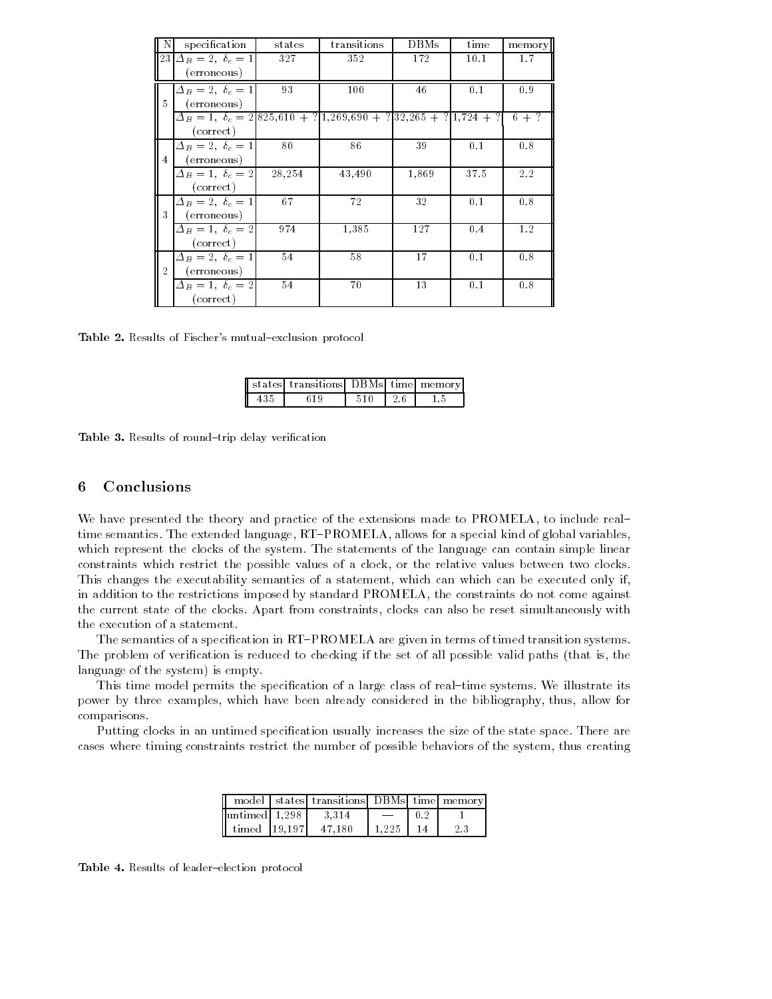|                | specification                                                                 | states | transitions | DBMs  | time | memory  |
|----------------|-------------------------------------------------------------------------------|--------|-------------|-------|------|---------|
|                | $ 23 \Delta_B = 2, \ \delta_c = 1$                                            | 327    | 352         | 172   | 10.1 | 1.7     |
|                | (erroneous)                                                                   |        |             |       |      |         |
|                | $\Delta_B=2, \ \delta_c=1$                                                    | 93     | 100         | 46    | 0.1  | 0.9     |
| 5              | (erroneous)                                                                   |        |             |       |      |         |
|                | $\Delta_B = 1, \ \delta_c = 2[825,610 + ?]1,269,690 + ?]32,265 + ?]1,724 + ?$ |        |             |       |      | $6 + ?$ |
|                | (correct)                                                                     |        |             |       |      |         |
|                | $\Delta_B=2, \ \delta_c=1$                                                    | 80     | 86          | 39    | 0.1  | 0.8     |
| $\overline{4}$ | (erroneous)                                                                   |        |             |       |      |         |
|                | $\Delta_B=1, \ \delta_c=2$                                                    | 28,254 | 43,490      | 1,869 | 37.5 | 2.2     |
|                | (correct)                                                                     |        |             |       |      |         |
|                | $\Delta_B=2, \delta_c=1$                                                      | 67     | 72          | 32    | 0.1  | 0.8     |
| 3              | (erroneous)                                                                   |        |             |       |      |         |
|                | $\Delta_B=1, \delta_c=2$                                                      | 974    | 1,385       | 127   | 0.4  | 1.2     |
|                | (correct)                                                                     |        |             |       |      |         |
|                | $\Delta_B=2, \delta_c=1$                                                      | 54     | 58          | 17    | 0.1  | 0.8     |
| $\mathfrak{D}$ | (erroneous)                                                                   |        |             |       |      |         |
|                | $\Delta_B=1, \delta_c=2$                                                      | 54     | 70          | 13    | 0.1  | 0.8     |
|                | (correct)                                                                     |        |             |       |      |         |

Table 2. Results of Fischer's mutual-exclusion protocol

|  | <b>I</b> states transitions DBMs time memory |  |  |
|--|----------------------------------------------|--|--|
|  |                                              |  |  |

Table 3. Results of round-trip delay verification

# 6 Conclusions

We have presented the theory and practice of the extensions made to PROMELA, to include realtime semantics. The extended language, RT-PROMELA, allows for a special kind of global variables, which represent the clocks of the system. The statements of the language can contain simple linear constraints which restrict the possible values of a clock, or the relative values between two clocks. This changes the executability semantics of a statement, which can which can be executed only if, in addition to the restrictions imposed by standard PROMELA, the constraints do not come against the current state of the clocks. Apart from constraints, clocks can also be reset simultaneously with the execution of a statement.

The semantics of a specification in RT-PROMELA are given in terms of timed transition systems. The problem of verication is reduced to checking if the set of all possible valid paths (that is, the language of the system) is empty.

This time model permits the specification of a large class of real-time systems. We illustrate its power by three examples, which have been already considered in the bibliography, thus, allow for comparisons.

Putting clocks in an untimed specification usually increases the size of the state space. There are cases where timing constraints restrict the number of possible behaviors of the system, thus creating

|                 | model   states   transitions   DBMs   time   memory |       |     |
|-----------------|-----------------------------------------------------|-------|-----|
| lluntimed 1.298 | -3.314                                              |       |     |
| timed 19.197    | 47.180                                              | 1.225 | 2.3 |

Table 4. Results of leader-election protocol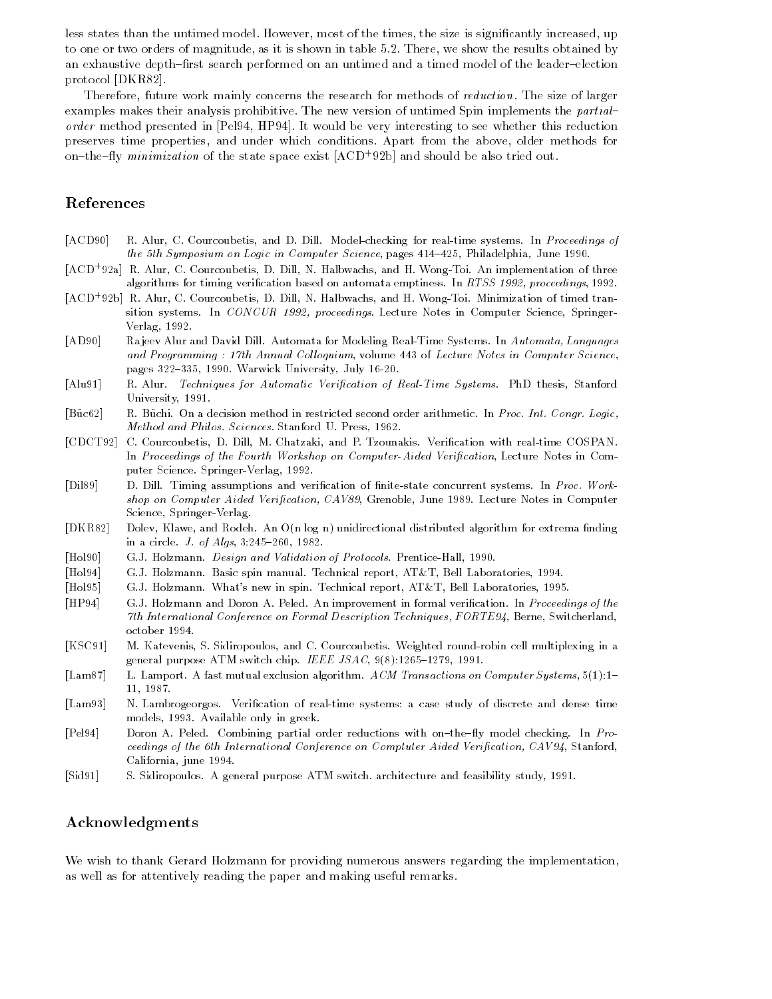less states than the untimed model. However, most of the times, the size is signicantly increased, up to one or two orders of magnitude, as it is shown in table 5.2. There, we show the results obtained by an exhaustive depth-first search performed on an untimed and a timed model of the leader-election protocol [DKR82].

Therefore, future work mainly concerns the research for methods of reduction. The size of larger examples makes their analysis prohibitive. The new version of untimed Spin implements the partialorder method presented in [Pel94, HP94]. It would be very interesting to see whether this reduction preserves time properties, and under which conditions. Apart from the above, older methods for on the  $\eta$  minimization of the state space exist  $|A \cup D|$  92b] and should be also tried out.

# References

- [ACD90] R. Alur, C. Courcoubetis, and D. Dill. Model-checking for real-time systems. In Proceedings of the 5th Symposium on Logic in Computer Science, pages  $414-425$ , Philadelphia, June 1990.
- [ACD+ 92a] R. Alur, C. Courcoubetis, D. Dill, N. Halbwachs, and H. Wong-Toi. An implementation of three algorithms for timing verication based on automata emptiness. In RTSS 1992, proceedings, 1992.
- [ACD+ 92b] R. Alur, C. Courcoubetis, D. Dill, N. Halbwachs, and H. Wong-Toi. Minimization of timed transition systems. In CONCUR 1992, proceedings. Lecture Notes in Computer Science, Springer-Verlag, 1992.
- [AD90] Ra jeev Alur and David Dill. Automata for Modeling Real-Time Systems. In Automata, Languages and Programming : 17th Annual Colloquium, volume 443 of Lecture Notes in Computer Science, pages 322-335, 1990. Warwick University, July 16-20.
- [Alu91] R. Alur. Techniques for Automatic Verification of Real-Time Systems. PhD thesis, Stanford University, 1991.
- [Büc62] R. Büchi. On a decision method in restricted second order arithmetic. In Proc. Int. Congr. Logic, Method and Philos. Sciences. Stanford U. Press, 1962.
- [CDCT92] C. Courcoubetis, D. Dill, M. Chatzaki, and P. Tzounakis. Verification with real-time COSPAN. In Proceedings of the Fourth Workshop on Computer-Aided Verification, Lecture Notes in Computer Science. Springer-Verlag, 1992.
- [Dil89] D. Dill. Timing assumptions and verification of finite-state concurrent systems. In Proc. Workshop on Computer Aided Verification, CAV89, Grenoble, June 1989. Lecture Notes in Computer Science, Springer-Verlag.
- [DKR82] Dolev, Klawe, and Rodeh. An O(n log n) unidirectional distributed algorithm for extrema finding in a circle. *J. of Algs*,  $3:245{-}260$ ,  $1982$ .
- [Hol90] G.J. Holzmann. Design and Validation of Protocols. Prentice-Hall, 1990.
- [Hol94] G.J. Holzmann. Basic spin manual. Technical report, AT&T, Bell Laboratories, 1994.
- [Hol95] G.J. Holzmann. What's new in spin. Technical report, AT&T, Bell Laboratories, 1995.
- [HP94] G.J. Holzmann and Doron A. Peled. An improvement in formal verication. In Proceedings of the 7th International Conference on Formal Description Techniques, FORTE94, Berne, Switcherland, october 1994.
- [KSC91] M. Katevenis, S. Sidiropoulos, and C. Courcoubetis. Weighted round-robin cell multiplexing in a general purpose ATM switch chip. IEEE JSAC,  $9(8):1265-1279$ , 1991.
- [Lam87] L. Lamport. A fast mutual exclusion algorithm. ACM Transactions on Computer Systems, 5(1):1-11, 1987.
- [Lam93] N. Lambrogeorgos. Verication of real-time systems: a case study of discrete and dense time models, 1993. Available only in greek.
- [Pel94] Doron A. Peled. Combining partial order reductions with on-the-fly model checking. In Proceedings of the 6th International Conference on Comptuter Aided Verification, CAV94, Stanford, California, june 1994.
- [Sid91] S. Sidiropoulos. A general purpose ATM switch. architecture and feasibility study, 1991.

## Acknowledgments

We wish to thank Gerard Holzmann for providing numerous answers regarding the implementation, as well as for attentively reading the paper and making useful remarks.